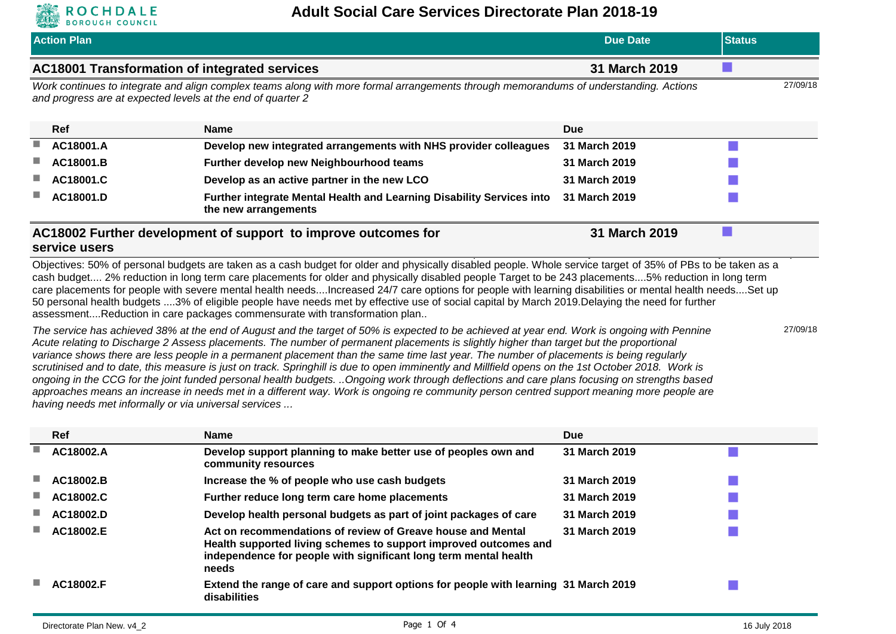

| <b>ALLES</b><br><b>BOROUGH COUNCIL</b> |                                                                                                                                                                                                                                                                                                                                                                                                                                                                                                                                                                                                                                                                                                                  |                 |               |          |
|----------------------------------------|------------------------------------------------------------------------------------------------------------------------------------------------------------------------------------------------------------------------------------------------------------------------------------------------------------------------------------------------------------------------------------------------------------------------------------------------------------------------------------------------------------------------------------------------------------------------------------------------------------------------------------------------------------------------------------------------------------------|-----------------|---------------|----------|
| <b>Action Plan</b>                     |                                                                                                                                                                                                                                                                                                                                                                                                                                                                                                                                                                                                                                                                                                                  | <b>Due Date</b> | <b>Status</b> |          |
|                                        | AC18001 Transformation of integrated services                                                                                                                                                                                                                                                                                                                                                                                                                                                                                                                                                                                                                                                                    | 31 March 2019   |               |          |
|                                        | Work continues to integrate and align complex teams along with more formal arrangements through memorandums of understanding. Actions<br>and progress are at expected levels at the end of quarter 2                                                                                                                                                                                                                                                                                                                                                                                                                                                                                                             |                 |               | 27/09/18 |
| Ref                                    | <b>Name</b>                                                                                                                                                                                                                                                                                                                                                                                                                                                                                                                                                                                                                                                                                                      | Due             |               |          |
| AC18001.A                              | Develop new integrated arrangements with NHS provider colleagues                                                                                                                                                                                                                                                                                                                                                                                                                                                                                                                                                                                                                                                 | 31 March 2019   |               |          |
| AC18001.B                              | Further develop new Neighbourhood teams                                                                                                                                                                                                                                                                                                                                                                                                                                                                                                                                                                                                                                                                          | 31 March 2019   |               |          |
| AC18001.C                              | Develop as an active partner in the new LCO                                                                                                                                                                                                                                                                                                                                                                                                                                                                                                                                                                                                                                                                      | 31 March 2019   |               |          |
| AC18001.D                              | <b>Further integrate Mental Health and Learning Disability Services into</b><br>the new arrangements                                                                                                                                                                                                                                                                                                                                                                                                                                                                                                                                                                                                             | 31 March 2019   |               |          |
| service users                          | AC18002 Further development of support to improve outcomes for                                                                                                                                                                                                                                                                                                                                                                                                                                                                                                                                                                                                                                                   | 31 March 2019   |               |          |
|                                        | Objectives: 50% of personal budgets are taken as a cash budget for older and physically disabled people. Whole service target of 35% of PBs to be taken as a<br>cash budget 2% reduction in long term care placements for older and physically disabled people Target to be 243 placements5% reduction in long term<br>care placements for people with severe mental health needsIncreased 24/7 care options for people with learning disabilities or mental health needsSet up<br>50 personal health budgets 3% of eligible people have needs met by effective use of social capital by March 2019. Delaying the need for further<br>assessmentReduction in care packages commensurate with transformation plan |                 |               |          |
|                                        | The service has achieved 38% at the end of August and the target of 50% is expected to be achieved at year end. Work is ongoing with Pennine<br>Acute relating to Discharge 2 Assess placements. The number of permanent placements is slightly higher than target but the proportional<br>variance shows there are less people in a permanent placement than the same time last year. The number of placements is being requiarly                                                                                                                                                                                                                                                                               |                 |               | 27/09/18 |

*variance shows there are less people in a permanent placement than the same time last year. The number of placements is being regularly*  scrutinised and to date, this measure is just on track. Springhill is due to open imminently and Millfield opens on the 1st October 2018. Work is *ongoing in the CCG for the joint funded personal health budgets. ..Ongoing work through deflections and care plans focusing on strengths based approaches means an increase in needs met in a different way. Work is ongoing re community person centred support meaning more people are having needs met informally or via universal services ...*

| <b>Ref</b> | Name                                                                                                                                                                                                         | <b>Due</b>    |  |
|------------|--------------------------------------------------------------------------------------------------------------------------------------------------------------------------------------------------------------|---------------|--|
| AC18002.A  | Develop support planning to make better use of peoples own and<br>community resources                                                                                                                        | 31 March 2019 |  |
| AC18002.B  | Increase the % of people who use cash budgets                                                                                                                                                                | 31 March 2019 |  |
| AC18002.C  | Further reduce long term care home placements                                                                                                                                                                | 31 March 2019 |  |
| AC18002.D  | Develop health personal budgets as part of joint packages of care                                                                                                                                            | 31 March 2019 |  |
| AC18002.E  | Act on recommendations of review of Greave house and Mental<br>Health supported living schemes to support improved outcomes and<br>independence for people with significant long term mental health<br>needs | 31 March 2019 |  |
| AC18002.F  | Extend the range of care and support options for people with learning 31 March 2019<br>disabilities                                                                                                          |               |  |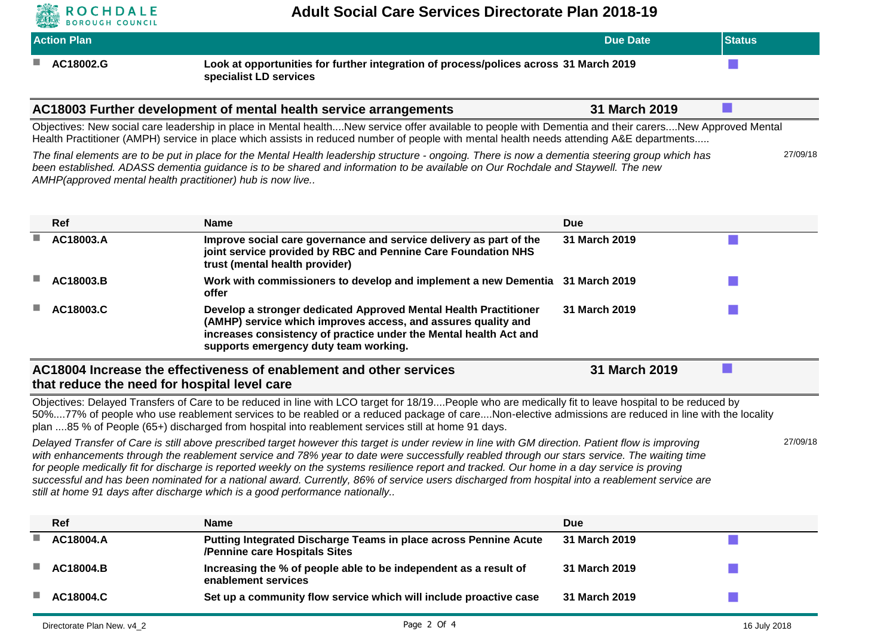

| and the same of the contract of the<br>-----------------<br><b>Action Plan</b> |                                                                                                                 | Due Date | <b>Status</b> |
|--------------------------------------------------------------------------------|-----------------------------------------------------------------------------------------------------------------|----------|---------------|
| AC18002.G                                                                      | Look at opportunities for further integration of process/polices across 31 March 2019<br>specialist LD services |          |               |

| AC18003 Further development of mental health service arrangements | 31 March 2019 |  |  |
|-------------------------------------------------------------------|---------------|--|--|
|-------------------------------------------------------------------|---------------|--|--|

Objectives: New social care leadership in place in Mental health....New service offer available to people with Dementia and their carers....New Approved Mental Health Practitioner (AMPH) service in place which assists in reduced number of people with mental health needs attending A&E departments.....

| The final elements are to be put in place for the Mental Health leadership structure - ongoing. There is now a dementia steering group which has | 27/09/18 |
|--------------------------------------------------------------------------------------------------------------------------------------------------|----------|
| been established. ADASS dementia quidance is to be shared and information to be available on Our Rochdale and Staywell. The new                  |          |
| AMHP(approved mental health practitioner) hub is now live                                                                                        |          |

|   | Ref                                                                                                                                  | Name                                                                                                                                                                                                                                            | <b>Due</b>    |  |  |
|---|--------------------------------------------------------------------------------------------------------------------------------------|-------------------------------------------------------------------------------------------------------------------------------------------------------------------------------------------------------------------------------------------------|---------------|--|--|
| ш | AC18003.A                                                                                                                            | Improve social care governance and service delivery as part of the<br>joint service provided by RBC and Pennine Care Foundation NHS<br>trust (mental health provider)                                                                           | 31 March 2019 |  |  |
|   | AC18003.B                                                                                                                            | Work with commissioners to develop and implement a new Dementia 31 March 2019<br>offer                                                                                                                                                          |               |  |  |
|   | AC18003.C                                                                                                                            | Develop a stronger dedicated Approved Mental Health Practitioner<br>(AMHP) service which improves access, and assures quality and<br>increases consistency of practice under the Mental health Act and<br>supports emergency duty team working. | 31 March 2019 |  |  |
|   | AC18004 Increase the effectiveness of enablement and other services<br>31 March 2019<br>that reduce the need for hospital level care |                                                                                                                                                                                                                                                 |               |  |  |

Objectives: Delayed Transfers of Care to be reduced in line with LCO target for 18/19....People who are medically fit to leave hospital to be reduced by 50%....77% of people who use reablement services to be reabled or a reduced package of care....Non-elective admissions are reduced in line with the locality plan ....85 % of People (65+) discharged from hospital into reablement services still at home 91 days.

*Delayed Transfer of Care is still above prescribed target however this target is under review in line with GM direction. Patient flow is improving*  with enhancements through the reablement service and 78% year to date were successfully reabled through our stars service. The waiting time *for people medically fit for discharge is reported weekly on the systems resilience report and tracked. Our home in a day service is proving successful and has been nominated for a national award. Currently, 86% of service users discharged from hospital into a reablement service are still at home 91 days after discharge which is a good performance nationally..*

| <b>Ref</b> | <b>Name</b>                                                                                       | <b>Due</b>    |  |
|------------|---------------------------------------------------------------------------------------------------|---------------|--|
| AC18004.A  | Putting Integrated Discharge Teams in place across Pennine Acute<br>/Pennine care Hospitals Sites | 31 March 2019 |  |
| AC18004.B  | Increasing the % of people able to be independent as a result of<br>enablement services           | 31 March 2019 |  |
| AC18004.C  | Set up a community flow service which will include proactive case                                 | 31 March 2019 |  |

27/09/18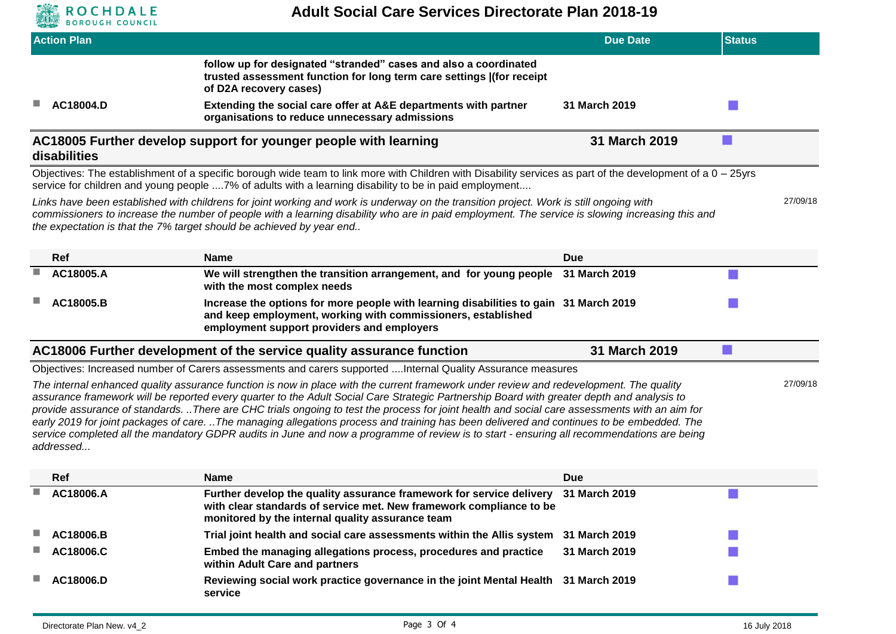

| <b>Action Plan</b> |                                                                                                                                                                                                                                                                                                                                                                                                                                                                                                                                                                                                                                                                                                                                   | <b>Due Date</b> | <b>Status</b> |
|--------------------|-----------------------------------------------------------------------------------------------------------------------------------------------------------------------------------------------------------------------------------------------------------------------------------------------------------------------------------------------------------------------------------------------------------------------------------------------------------------------------------------------------------------------------------------------------------------------------------------------------------------------------------------------------------------------------------------------------------------------------------|-----------------|---------------|
|                    | follow up for designated "stranded" cases and also a coordinated<br>trusted assessment function for long term care settings ((for receipt<br>of D2A recovery cases)                                                                                                                                                                                                                                                                                                                                                                                                                                                                                                                                                               |                 |               |
| AC18004.D          | Extending the social care offer at A&E departments with partner<br>organisations to reduce unnecessary admissions                                                                                                                                                                                                                                                                                                                                                                                                                                                                                                                                                                                                                 | 31 March 2019   |               |
| disabilities       | AC18005 Further develop support for younger people with learning                                                                                                                                                                                                                                                                                                                                                                                                                                                                                                                                                                                                                                                                  | 31 March 2019   |               |
|                    | Objectives: The establishment of a specific borough wide team to link more with Children with Disability services as part of the development of a 0 - 25yrs<br>service for children and young people 7% of adults with a learning disability to be in paid employment                                                                                                                                                                                                                                                                                                                                                                                                                                                             |                 |               |
|                    | Links have been established with childrens for joint working and work is underway on the transition project. Work is still ongoing with<br>commissioners to increase the number of people with a learning disability who are in paid employment. The service is slowing increasing this and<br>the expectation is that the 7% target should be achieved by year end                                                                                                                                                                                                                                                                                                                                                               |                 | 27/09/18      |
| Ref                | <b>Name</b>                                                                                                                                                                                                                                                                                                                                                                                                                                                                                                                                                                                                                                                                                                                       | <b>Due</b>      |               |
| AC18005.A          | We will strengthen the transition arrangement, and for young people<br>with the most complex needs                                                                                                                                                                                                                                                                                                                                                                                                                                                                                                                                                                                                                                | 31 March 2019   |               |
| AC18005.B          | Increase the options for more people with learning disabilities to gain 31 March 2019<br>and keep employment, working with commissioners, established<br>employment support providers and employers                                                                                                                                                                                                                                                                                                                                                                                                                                                                                                                               |                 |               |
|                    | AC18006 Further development of the service quality assurance function                                                                                                                                                                                                                                                                                                                                                                                                                                                                                                                                                                                                                                                             | 31 March 2019   |               |
|                    | Objectives: Increased number of Carers assessments and carers supported Internal Quality Assurance measures                                                                                                                                                                                                                                                                                                                                                                                                                                                                                                                                                                                                                       |                 |               |
| addressed          | The internal enhanced quality assurance function is now in place with the current framework under review and redevelopment. The quality<br>assurance framework will be reported every quarter to the Adult Social Care Strategic Partnership Board with greater depth and analysis to<br>provide assurance of standards. There are CHC trials ongoing to test the process for joint health and social care assessments with an aim for<br>early 2019 for joint packages of care. The managing allegations process and training has been delivered and continues to be embedded. The<br>service completed all the mandatory GDPR audits in June and now a programme of review is to start - ensuring all recommendations are being |                 | 27/09/18      |
| Ref                | <b>Name</b>                                                                                                                                                                                                                                                                                                                                                                                                                                                                                                                                                                                                                                                                                                                       | <b>Due</b>      |               |
| AC18006.A          | Further develop the quality assurance framework for service delivery<br>with clear standards of service met. New framework compliance to be<br>monitored by the internal quality assurance team                                                                                                                                                                                                                                                                                                                                                                                                                                                                                                                                   | 31 March 2019   |               |
| AC18006.B          | Trial joint health and social care assessments within the Allis system                                                                                                                                                                                                                                                                                                                                                                                                                                                                                                                                                                                                                                                            | 31 March 2019   |               |
| AC18006.C          | Embed the managing allegations process, procedures and practice<br>within Adult Care and partners                                                                                                                                                                                                                                                                                                                                                                                                                                                                                                                                                                                                                                 | 31 March 2019   |               |
| AC18006.D          | Reviewing social work practice governance in the joint Mental Health 31 March 2019<br>service                                                                                                                                                                                                                                                                                                                                                                                                                                                                                                                                                                                                                                     |                 |               |
|                    |                                                                                                                                                                                                                                                                                                                                                                                                                                                                                                                                                                                                                                                                                                                                   |                 |               |